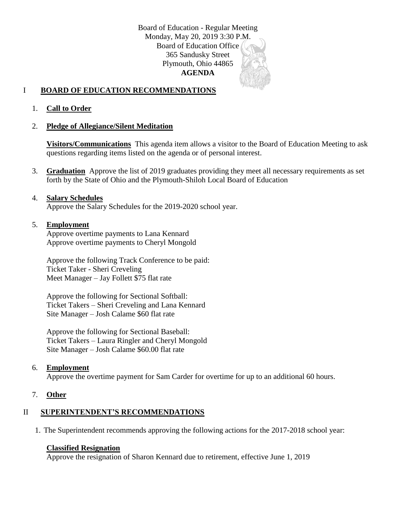Board of Education - Regular Meeting Monday, May 20, 2019 3:30 P.M. Board of Education Office 365 Sandusky Street Plymouth, Ohio 44865 **AGENDA**

# I **BOARD OF EDUCATION RECOMMENDATIONS**

# 1. **Call to Order**

#### 2. **Pledge of Allegiance/Silent Meditation**

**Visitors/Communications** This agenda item allows a visitor to the Board of Education Meeting to ask questions regarding items listed on the agenda or of personal interest.

3. **Graduation** Approve the list of 2019 graduates providing they meet all necessary requirements as set forth by the State of Ohio and the Plymouth-Shiloh Local Board of Education

# 4. **Salary Schedules**

Approve the Salary Schedules for the 2019-2020 school year.

# 5. **Employment**

Approve overtime payments to Lana Kennard Approve overtime payments to Cheryl Mongold

Approve the following Track Conference to be paid: Ticket Taker - Sheri Creveling Meet Manager – Jay Follett \$75 flat rate

Approve the following for Sectional Softball: Ticket Takers – Sheri Creveling and Lana Kennard Site Manager – Josh Calame \$60 flat rate

Approve the following for Sectional Baseball: Ticket Takers – Laura Ringler and Cheryl Mongold Site Manager – Josh Calame \$60.00 flat rate

# 6. **Employment**

Approve the overtime payment for Sam Carder for overtime for up to an additional 60 hours.

7. **Other**

# II **SUPERINTENDENT'S RECOMMENDATIONS**

1. The Superintendent recommends approving the following actions for the 2017-2018 school year:

# **Classified Resignation**

Approve the resignation of Sharon Kennard due to retirement, effective June 1, 2019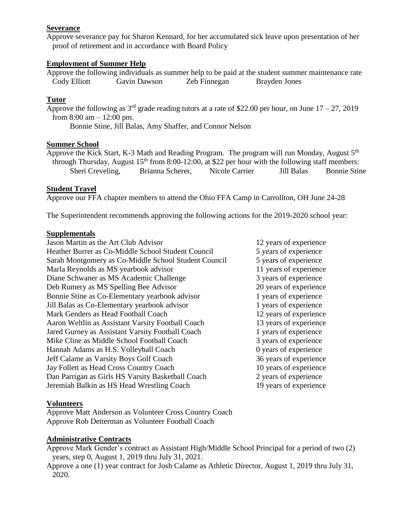#### **Severance**

Approve severance pay for Sharon Kennard, for her accumulated sick leave upon presentation of her proof of retirement and in accordance with Board Policy

# **Employment of Summer Help**

Approve the following individuals as summer help to be paid at the student summer maintenance rate Cody Elliott Gavin Dawson Zeb Finnegan Brayden Jones

# **Tutor**

Approve the following as  $3^{rd}$  grade reading tutors at a rate of \$22.00 per hour, on June  $17 - 27$ , 2019 from  $8:00 \text{ am} - 12:00 \text{ pm}$ .

Bonnie Stine, Jill Balas, Amy Shaffer, and Connor Nelson

# **Summer School**

Approve the Kick Start, K-3 Math and Reading Program. The program will run Monday, August 5<sup>th</sup> through Thursday, August  $15<sup>th</sup>$  from 8:00-12:00, at \$22 per hour with the following staff members: Sheri Creveling, Brianna Scherer, Nicole Carrier Jill Balas Bonnie Stine

# **Student Travel**

Approve our FFA chapter members to attend the Ohio FFA Camp in Carrollton, OH June 24-28

The Superintendent recommends approving the following actions for the 2019-2020 school year:

#### **Supplementals**

Jason Martin as the Art Club Advisor 12 years of experience Heather Burrer as Co-Middle School Student Council 5 years of experience Sarah Montgomery as Co-Middle School Student Council 5 years of experience Marla Reynolds as MS yearbook advisor 11 years of experience Diane Schwaner as MS Academic Challenge 3 years of experience Deb Rumery as MS Spelling Bee Advisor 20 years of experience Bonnie Stine as Co-Elementary yearbook advisor 1 years of experience Jill Balas as Co-Elementary yearbook advisor 1 years of experience Mark Genders as Head Football Coach 12 years of experience Aaron Weltlin as Assistant Varsity Football Coach 13 years of experience Jared Gurney as Assistant Varsity Football Coach 1 years of experience Mike Cline as Middle School Football Coach 3 years of experience Hannah Adams as H.S. Volleyball Coach 0 years of experience Jeff Calame as Varsity Boys Golf Coach 36 years of experience Jay Follett as Head Cross Country Coach 10 years of experience Dan Parrigan as Girls HS Varsity Basketball Coach 2 years of experience Jeremiah Balkin as HS Head Wrestling Coach 19 years of experience

# **Volunteers**

Approve Matt Anderson as Volunteer Cross Country Coach Approve Rob Detterman as Volunteer Football Coach

# **Administrative Contracts**

Approve Mark Gender's contract as Assistant High/Middle School Principal for a period of two (2) years, step 0, August 1, 2019 thru July 31, 2021.

Approve a one (1) year contract for Josh Calame as Athletic Director, August 1, 2019 thru July 31, 2020.